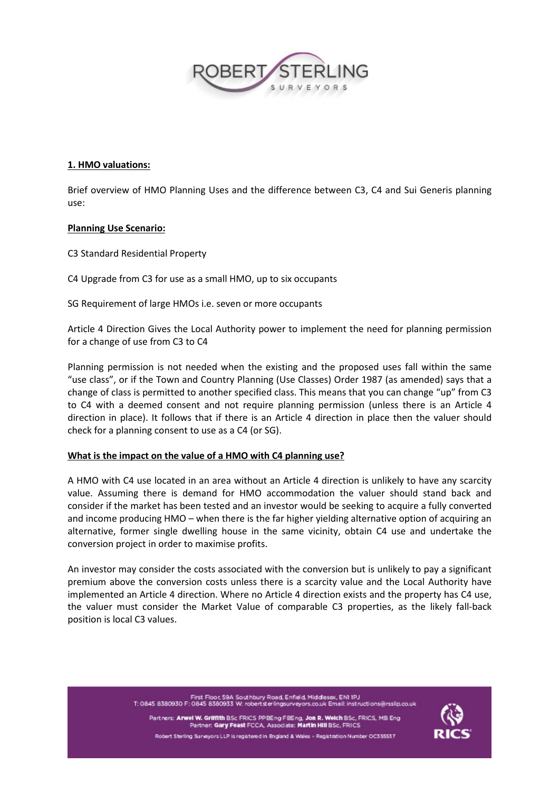

## **1. HMO valuations:**

Brief overview of HMO Planning Uses and the difference between C3, C4 and Sui Generis planning use:

### **Planning Use Scenario:**

C3 Standard Residential Property

C4 Upgrade from C3 for use as a small HMO, up to six occupants

SG Requirement of large HMOs i.e. seven or more occupants

Article 4 Direction Gives the Local Authority power to implement the need for planning permission for a change of use from C3 to C4

Planning permission is not needed when the existing and the proposed uses fall within the same "use class", or if the Town and Country Planning (Use Classes) Order 1987 (as amended) says that a change of class is permitted to another specified class. This means that you can change "up" from C3 to C4 with a deemed consent and not require planning permission (unless there is an Article 4 direction in place). It follows that if there is an Article 4 direction in place then the valuer should check for a planning consent to use as a C4 (or SG).

## **What is the impact on the value of a HMO with C4 planning use?**

A HMO with C4 use located in an area without an Article 4 direction is unlikely to have any scarcity value. Assuming there is demand for HMO accommodation the valuer should stand back and consider if the market has been tested and an investor would be seeking to acquire a fully converted and income producing HMO – when there is the far higher yielding alternative option of acquiring an alternative, former single dwelling house in the same vicinity, obtain C4 use and undertake the conversion project in order to maximise profits.

An investor may consider the costs associated with the conversion but is unlikely to pay a significant premium above the conversion costs unless there is a scarcity value and the Local Authority have implemented an Article 4 direction. Where no Article 4 direction exists and the property has C4 use, the valuer must consider the Market Value of comparable C3 properties, as the likely fall-back position is local C3 values.

First Floor, 59A Southbury Road, Enfield, Middlesex, ENI IPJ<br>T: 0845 8380930 F: 0845 8380933 W: robertsterlingsurveyors.co.uk Email: instructions@rsslip.co.uk



Partners: Arwel W. Griffith BSc FRICS PPBEng FBEng, Jon R. Welch BSc, FRICS, MB Eng Partner: Gary Feast FCCA, Associate: Martin Hill BSc, FRICS

t Sterling Surveyors LLP is registered in England & Wales - Registration Number OC355537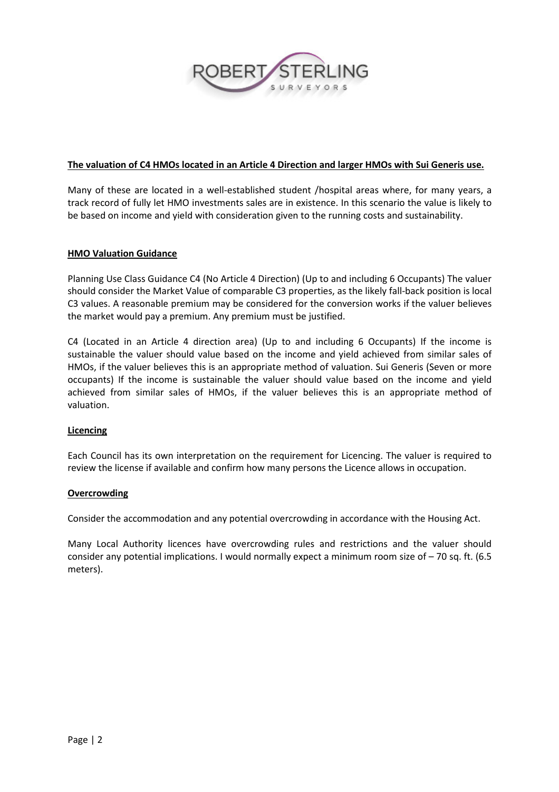

## **The valuation of C4 HMOs located in an Article 4 Direction and larger HMOs with Sui Generis use.**

Many of these are located in a well-established student /hospital areas where, for many years, a track record of fully let HMO investments sales are in existence. In this scenario the value is likely to be based on income and yield with consideration given to the running costs and sustainability.

### **HMO Valuation Guidance**

Planning Use Class Guidance C4 (No Article 4 Direction) (Up to and including 6 Occupants) The valuer should consider the Market Value of comparable C3 properties, as the likely fall-back position is local C3 values. A reasonable premium may be considered for the conversion works if the valuer believes the market would pay a premium. Any premium must be justified.

C4 (Located in an Article 4 direction area) (Up to and including 6 Occupants) If the income is sustainable the valuer should value based on the income and yield achieved from similar sales of HMOs, if the valuer believes this is an appropriate method of valuation. Sui Generis (Seven or more occupants) If the income is sustainable the valuer should value based on the income and yield achieved from similar sales of HMOs, if the valuer believes this is an appropriate method of valuation.

#### **Licencing**

Each Council has its own interpretation on the requirement for Licencing. The valuer is required to review the license if available and confirm how many persons the Licence allows in occupation.

#### **Overcrowding**

Consider the accommodation and any potential overcrowding in accordance with the Housing Act.

Many Local Authority licences have overcrowding rules and restrictions and the valuer should consider any potential implications. I would normally expect a minimum room size of  $-70$  sq. ft. (6.5) meters).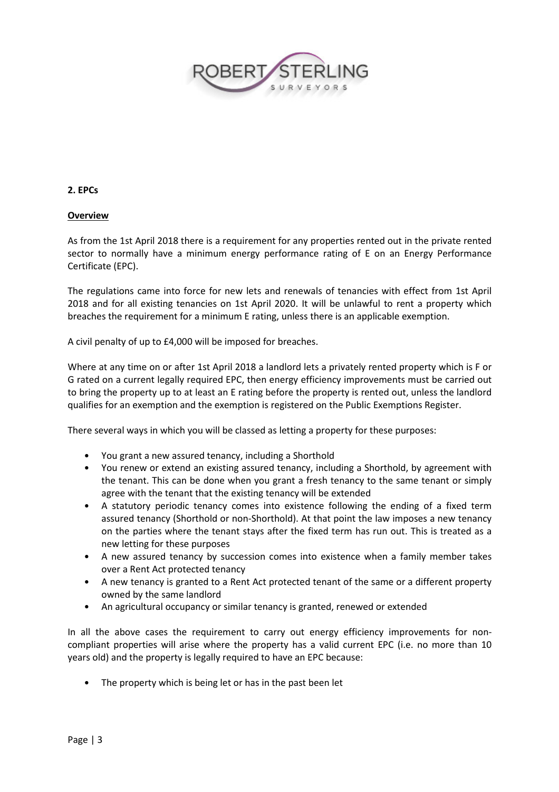

## **2. EPCs**

# **Overview**

As from the 1st April 2018 there is a requirement for any properties rented out in the private rented sector to normally have a minimum energy performance rating of E on an Energy Performance Certificate (EPC).

The regulations came into force for new lets and renewals of tenancies with effect from 1st April 2018 and for all existing tenancies on 1st April 2020. It will be unlawful to rent a property which breaches the requirement for a minimum E rating, unless there is an applicable exemption.

A civil penalty of up to £4,000 will be imposed for breaches.

Where at any time on or after 1st April 2018 a landlord lets a privately rented property which is F or G rated on a current legally required EPC, then energy efficiency improvements must be carried out to bring the property up to at least an E rating before the property is rented out, unless the landlord qualifies for an exemption and the exemption is registered on the Public Exemptions Register.

There several ways in which you will be classed as letting a property for these purposes:

- You grant a new assured tenancy, including a Shorthold
- You renew or extend an existing assured tenancy, including a Shorthold, by agreement with the tenant. This can be done when you grant a fresh tenancy to the same tenant or simply agree with the tenant that the existing tenancy will be extended
- A statutory periodic tenancy comes into existence following the ending of a fixed term assured tenancy (Shorthold or non-Shorthold). At that point the law imposes a new tenancy on the parties where the tenant stays after the fixed term has run out. This is treated as a new letting for these purposes
- A new assured tenancy by succession comes into existence when a family member takes over a Rent Act protected tenancy
- A new tenancy is granted to a Rent Act protected tenant of the same or a different property owned by the same landlord
- An agricultural occupancy or similar tenancy is granted, renewed or extended

In all the above cases the requirement to carry out energy efficiency improvements for noncompliant properties will arise where the property has a valid current EPC (i.e. no more than 10 years old) and the property is legally required to have an EPC because:

• The property which is being let or has in the past been let